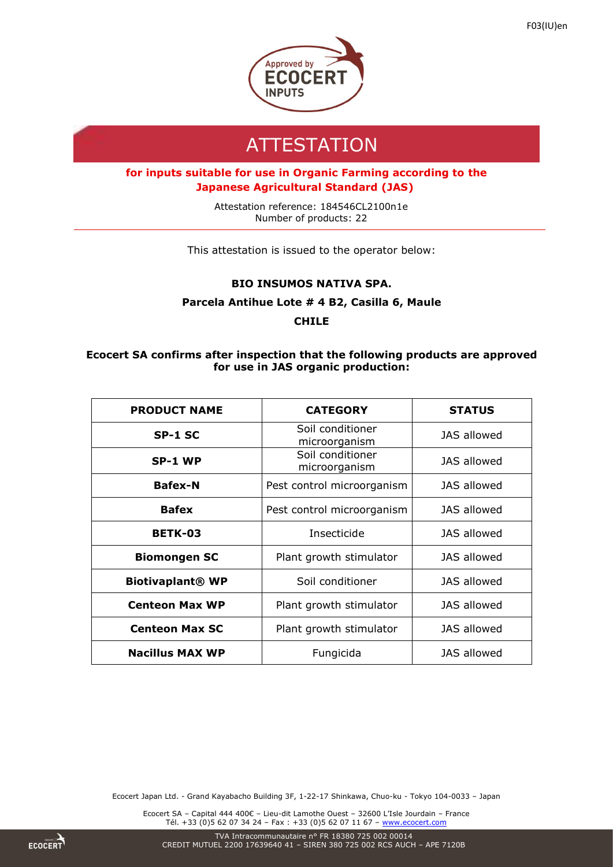

# **ATTESTATION**

## **for inputs suitable for use in Organic Farming according to the Japanese Agricultural Standard (JAS)**

Attestation reference: 184546CL2100n1e Number of products: 22

This attestation is issued to the operator below:

### **BIO INSUMOS NATIVA SPA.**

### **Parcela Antihue Lote # 4 B2, Casilla 6, Maule**

**CHILE**

### **Ecocert SA confirms after inspection that the following products are approved for use in JAS organic production:**

| <b>PRODUCT NAME</b>     | <b>CATEGORY</b>                   | <b>STATUS</b>      |
|-------------------------|-----------------------------------|--------------------|
| SP-1 SC                 | Soil conditioner<br>microorganism | <b>JAS allowed</b> |
| SP-1 WP                 | Soil conditioner<br>microorganism | <b>JAS allowed</b> |
| <b>Bafex-N</b>          | Pest control microorganism        | JAS allowed        |
| <b>Bafex</b>            | Pest control microorganism        | <b>JAS allowed</b> |
| <b>BETK-03</b>          | Insecticide                       | JAS allowed        |
| <b>Biomongen SC</b>     | Plant growth stimulator           | JAS allowed        |
| <b>Biotivaplant® WP</b> | Soil conditioner                  | JAS allowed        |
| <b>Centeon Max WP</b>   | Plant growth stimulator           | <b>JAS allowed</b> |
| <b>Centeon Max SC</b>   | Plant growth stimulator           | JAS allowed        |
| <b>Nacillus MAX WP</b>  | Fungicida                         | JAS allowed        |

Ecocert Japan Ltd. - Grand Kayabacho Building 3F, 1-22-17 Shinkawa, Chuo-ku - Tokyo 104-0033 – Japan

Ecocert SA – Capital 444 400€ – Lieu-dit Lamothe Ouest – 32600 L'Isle Jourdain – France Tél. +33 (0)5 62 07 34 24 - Fax : +33 (0)5 62 07 11 67 - [www.ecocert.com](http://www.ecocert.com/)